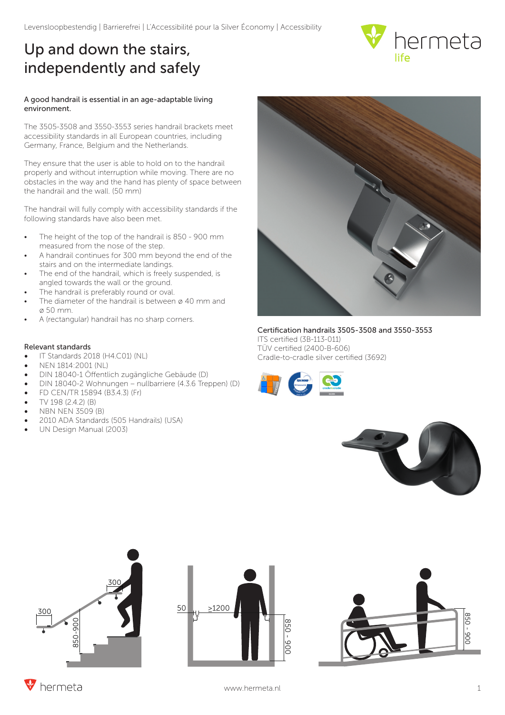## Up and down the stairs, independently and safely



## A good handrail is essential in an age-adaptable living environment.

The 3505-3508 and 3550-3553 series handrail brackets meet accessibility standards in all European countries, including Germany, France, Belgium and the Netherlands.

They ensure that the user is able to hold on to the handrail properly and without interruption while moving. There are no obstacles in the way and the hand has plenty of space between the handrail and the wall. (50 mm)

The handrail will fully comply with accessibility standards if the following standards have also been met.

- The height of the top of the handrail is 850 900 mm measured from the nose of the step.
- A handrail continues for 300 mm beyond the end of the stairs and on the intermediate landings.
- The end of the handrail, which is freely suspended, is angled towards the wall or the ground.
- The handrail is preferably round or oval.
- The diameter of the handrail is between  $\varnothing$  40 mm and ø 50 mm.
- A (rectangular) handrail has no sharp corners.

## Relevant standards

- IT Standards 2018 (H4.C01) (NL)
- NEN 1814:2001 (NL)
- DIN 18040-1 Öffentlich zugängliche Gebäude (D)
- DIN 18040-2 Wohnungen nullbarriere (4.3.6 Treppen) (D)
- FD CEN/TR 15894 (B3.4.3) (Fr)
- TV 198 (2.4.2) (B)
- NBN NEN 3509 (B)
- 2010 ADA Standards (505 Handrails) (USA)
- UN Design Manual (2003)



Certification handrails 3505-3508 and 3550-3553 ITS certified (3B-113-011) TÜV certified (2400-B-606) Cradle-to-cradle silver certified (3692)